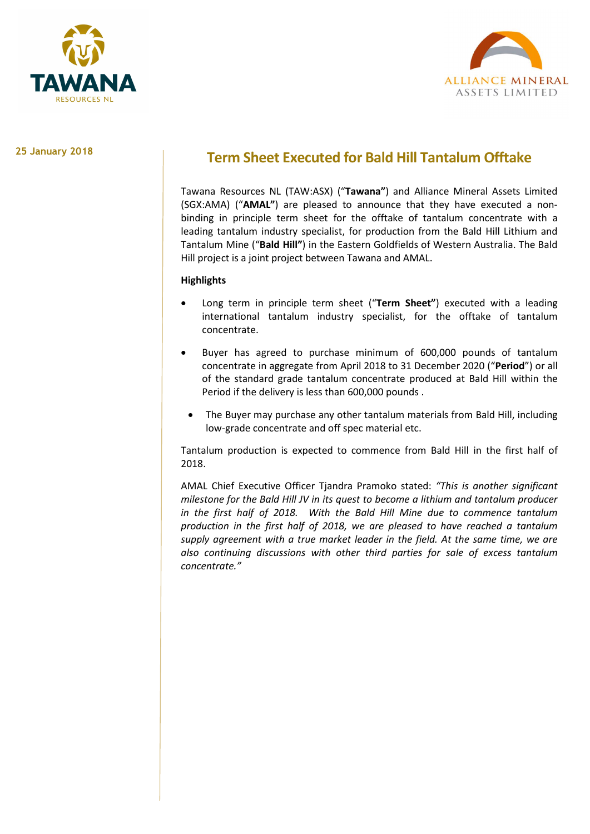



### 25 January 2018

# Term Sheet Executed for Bald Hill Tantalum Offtake

Tawana Resources NL (TAW:ASX) ("Tawana") and Alliance Mineral Assets Limited (SGX:AMA) ("AMAL") are pleased to announce that they have executed a nonbinding in principle term sheet for the offtake of tantalum concentrate with a leading tantalum industry specialist, for production from the Bald Hill Lithium and Tantalum Mine ("Bald Hill") in the Eastern Goldfields of Western Australia. The Bald Hill project is a joint project between Tawana and AMAL.

## **Highlights**

- Long term in principle term sheet ("Term Sheet") executed with a leading international tantalum industry specialist, for the offtake of tantalum concentrate.
- Buyer has agreed to purchase minimum of 600,000 pounds of tantalum concentrate in aggregate from April 2018 to 31 December 2020 ("Period") or all of the standard grade tantalum concentrate produced at Bald Hill within the Period if the delivery is less than 600,000 pounds .
	- The Buyer may purchase any other tantalum materials from Bald Hill, including low-grade concentrate and off spec material etc.

Tantalum production is expected to commence from Bald Hill in the first half of 2018.

AMAL Chief Executive Officer Tiandra Pramoko stated: "This is another significant milestone for the Bald Hill JV in its quest to become a lithium and tantalum producer in the first half of 2018. With the Bald Hill Mine due to commence tantalum production in the first half of 2018, we are pleased to have reached a tantalum supply agreement with a true market leader in the field. At the same time, we are also continuing discussions with other third parties for sale of excess tantalum concentrate."